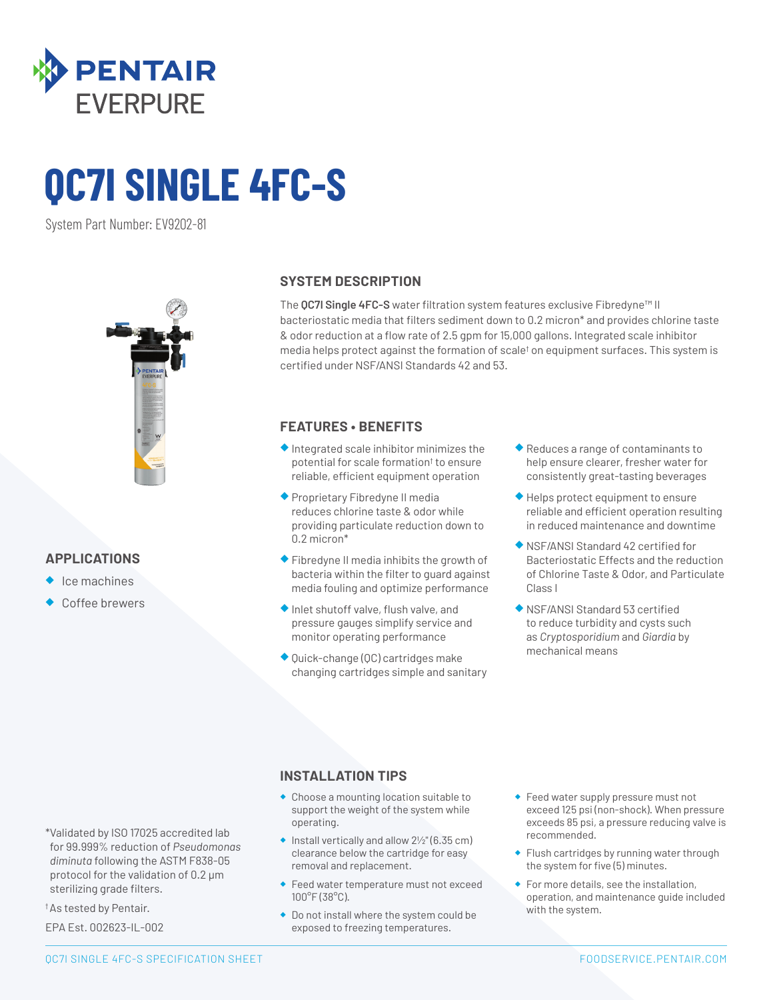

# **QC7I SINGLE 4FC-S**

System Part Number: EV9202-81



# **APPLICATIONS**

- ◆ Ice machines
- Coffee brewers

## **SYSTEM DESCRIPTION**

The **QC7I Single 4FC-S** water filtration system features exclusive Fibredyne™ II bacteriostatic media that filters sediment down to 0.2 micron\* and provides chlorine taste & odor reduction at a flow rate of 2.5 gpm for 15,000 gallons. Integrated scale inhibitor media helps protect against the formation of scale† on equipment surfaces. This system is certified under NSF/ANSI Standards 42 and 53.

# **FEATURES • BENEFITS**

- ◆ Integrated scale inhibitor minimizes the potential for scale formation† to ensure reliable, efficient equipment operation
- ◆ Proprietary Fibredyne II media reduces chlorine taste & odor while providing particulate reduction down to 0.2 micron\*
- ◆ Fibredyne II media inhibits the growth of bacteria within the filter to guard against media fouling and optimize performance
- ◆ Inlet shutoff valve, flush valve, and pressure gauges simplify service and monitor operating performance
- ◆ Quick-change (QC) cartridges make changing cartridges simple and sanitary
- ◆ Reduces a range of contaminants to help ensure clearer, fresher water for consistently great-tasting beverages
- ◆ Helps protect equipment to ensure reliable and efficient operation resulting in reduced maintenance and downtime
- ◆ NSF/ANSI Standard 42 certified for Bacteriostatic Effects and the reduction of Chlorine Taste & Odor, and Particulate Class I
- ◆ NSF/ANSI Standard 53 certified to reduce turbidity and cysts such as *Cryptosporidium* and *Giardia* by mechanical means

# **INSTALLATION TIPS**

- ◆ Choose a mounting location suitable to support the weight of the system while operating.
- $\bullet$  Install vertically and allow  $2\frac{1}{2}$ " (6.35 cm) clearance below the cartridge for easy removal and replacement.
- ◆ Feed water temperature must not exceed 100°F (38°C).
- ◆ Do not install where the system could be exposed to freezing temperatures.
- ◆ Feed water supply pressure must not exceed 125 psi (non-shock). When pressure exceeds 85 psi, a pressure reducing valve is recommended.
- ◆ Flush cartridges by running water through the system for five (5) minutes.
- ◆ For more details, see the installation, operation, and maintenance guide included with the system.

\*Validated by ISO 17025 accredited lab for 99.999% reduction of *Pseudomonas diminuta* following the ASTM F838-05 protocol for the validation of 0.2 µm sterilizing grade filters.

† As tested by Pentair.

EPA Est. 002623-IL-002